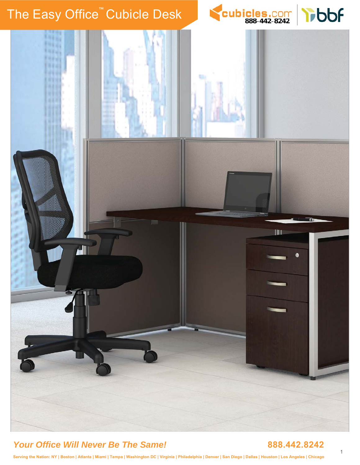# The Easy Office<sup>™</sup> Cubicle Desk **BEART COM** [888](www.cubicles.com)-[442](www.cubicles.com)-[8242](www.cubicles.com)





### *Your Office Will Never Be The Same!* **888.442.8242**

**Serving the Nation: NY | Boston | Atlanta | Miami | Tampa | Washington DC | Virginia | Philadelphia | Denver | San Diego | Dallas | Houston | Los Angeles | Chicago**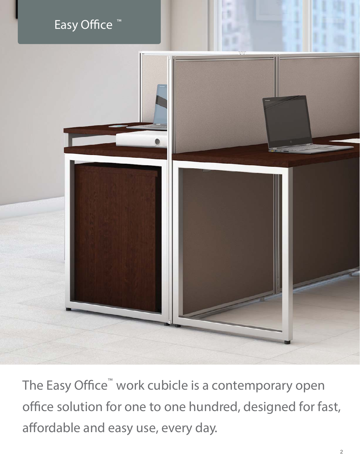# Easy Office ™



The Easy Office<sup>™</sup> work cubicle is a contemporary open office solution for one to one hundred, designed for fast, affordable and easy use, every day.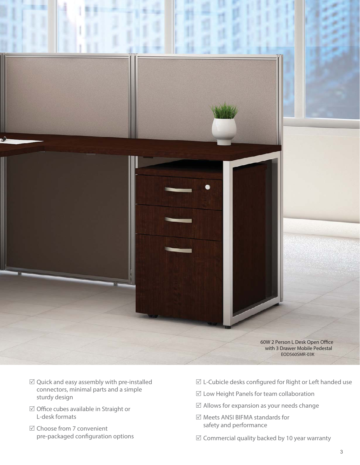

- $\boxtimes$  Quick and easy assembly with pre-installed connectors, minimal parts and a simple sturdy design
- $\boxtimes$  Office cubes available in Straight or L-desk formats
- 5 Choose from 7 convenient pre-packaged configuration options
- $\mathbb Z$  L-Cubicle desks configured for Right or Left handed use
- $\boxtimes$  Low Height Panels for team collaboration
- $\boxtimes$  Allows for expansion as your needs change
- 5 Meets ANSI BIFMA standards for safety and performance
- $\boxtimes$  Commercial quality backed by 10 year warranty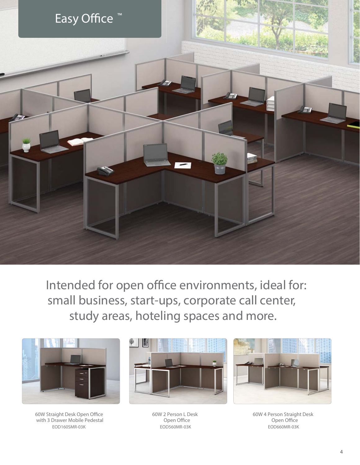

Intended for open office environments, ideal for: small business, start-ups, corporate call center, study areas, hoteling spaces and more.



60W Straight Desk Open Office with 3 Drawer Mobile Pedestal EOD160SMR-03K



60W 2 Person L Desk Open Office EOD560MR-03K



60W 4 Person Straight Desk Open Office EOD660MR-03K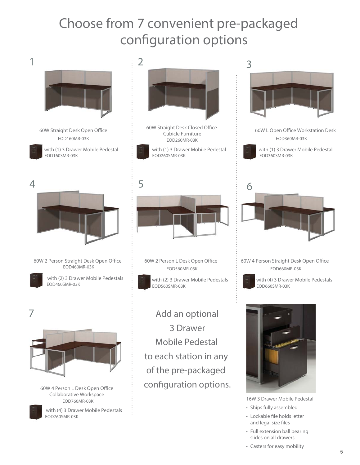# Choose from 7 convenient pre-packaged configuration options



- Full extension ball bearing slides on all drawers
- Casters for easy mobility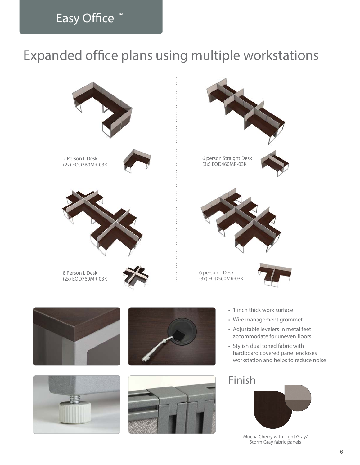## Easy Office<sup>™</sup>

# Expanded office plans using multiple workstations







- 
- 
- Adjustable levelers in metal feet accommodate for uneven floors
- hardboard covered panel encloses workstation and helps to reduce noise

### Finish



Mocha Cherry with Light Gray/ Storm Gray fabric panels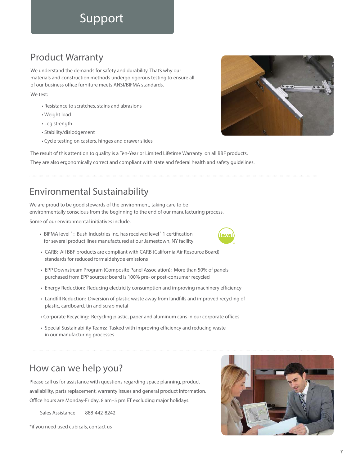## Support

### Product Warranty

We understand the demands for safety and durability. That's why our materials and construction methods undergo rigorous testing to ensure all of our business office furniture meets ANSI/BIFMA standards.

#### We test:

- Resistance to scratches, stains and abrasions
- Weight load
- Leg strength
- Stability/dislodgement
- Cycle testing on casters, hinges and drawer slides

The result of this attention to quality is a **Ten-Year or Limited Lifetime Warranty** on all BBF products. They are also ergonomically correct and compliant with state and federal health and safety guidelines.

### Environmental Sustainability

We are proud to be good stewards of the environment, taking care to be environmentally conscious from the beginning to the end of our manufacturing process.

Some of our environmental initiatives include:

- BIFMA level<sup>®</sup> : Bush Industries Inc. has received level<sup>®</sup> 1 certification for several product lines manufactured at our Jamestown, NY facility
- **CARB:** All BBF products are compliant with CARB (California Air Resource Board) standards for reduced formaldehyde emissions
- **EPP Downstream Program (Composite Panel Association):** More than 50% of panels purchased from EPP sources; board is 100% pre- or post-consumer recycled
- **Energy Reduction:** Reducing electricity consumption and improving machinery efficiency
- **Landfill Reduction:** Diversion of plastic waste away from landfills and improved recycling of plastic, cardboard, tin and scrap metal
- **Corporate Recycling:** Recycling plastic, paper and aluminum cans in our corporate offices
- **Special Sustainability Teams:** Tasked with improving efficiency and reducing waste in our manufacturing processes

### How can we help you?

Please call us for assistance with questions regarding space planning, product availability, parts replacement, warranty issues and general product information. Office hours are Monday-Friday, 8 am–5 pm ET excluding major holidays.

Sales Assistance 888-442-8242

\*if you need used cubicals, contact us